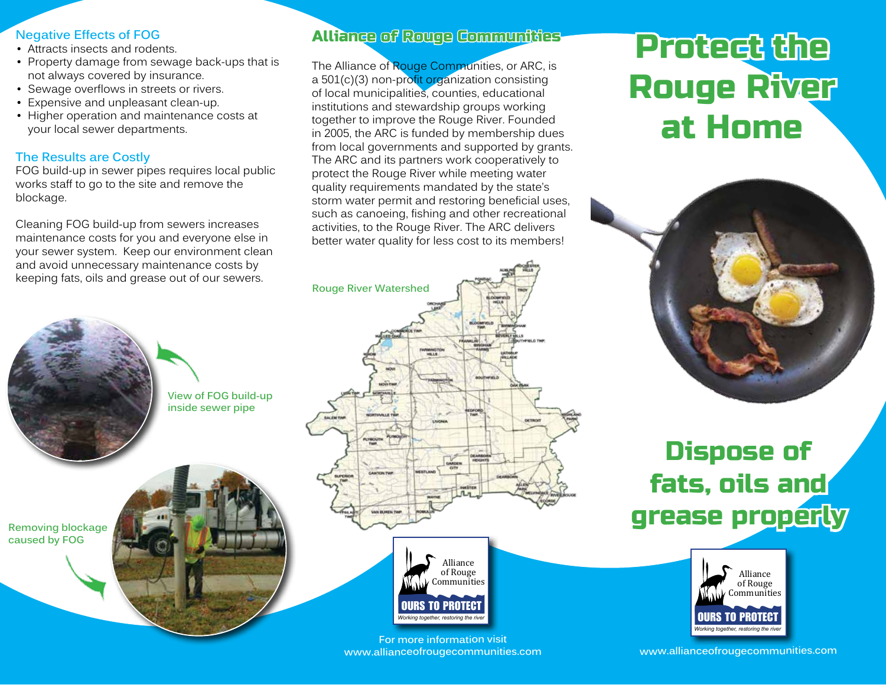#### **Negative Effects of FOG**

- Attracts insects and rodents.
- Property damage from sewage back-ups that is not always covered by insurance.
- Sewage overflows in streets or rivers.
- Expensive and unpleasant clean-up.
- Higher operation and maintenance costs at your local sewer departments.

## **The Results are Costly**

FOG build-up in sewer pipes requires local public works staff to go to the site and remove the blockage.

Cleaning FOG build-up from sewers increases maintenance costs for you and everyone else in your sewer system. Keep our environment clean and avoid unnecessary maintenance costs by keeping fats, oils and grease out of our sewers.



## Alliance of Rouge Communities

The Alliance of Rouge Communities, or ARC, is a 501(c)(3) non-profit organization consisting of local municipalities, counties, educational institutions and stewardship groups working together to improve the Rouge River. Founded in 2005, the ARC is funded by membership dues from local governments and supported by grants. The ARC and its partners work cooperatively to protect the Rouge River while meeting water quality requirements mandated by the state's storm water permit and restoring beneficial uses, such as canoeing, fishing and other recreational activities, to the Rouge River. The ARC delivers better water quality for less cost to its members!

# **Rouge River Watershed PROGRAM**



#### **For more information visit www.allianceofrougecommunities.com**

# Protect the Rouge River at Home



# Dispose of fats, oils and grease properly



**www.allianceofrougecommunities.com**